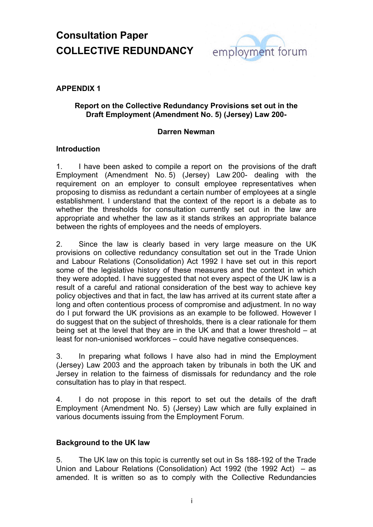

### **APPENDIX 1**

#### **Report on the Collective Redundancy Provisions set out in the Draft Employment (Amendment No. 5) (Jersey) Law 200-**

#### **Darren Newman**

### **Introduction**

1. I have been asked to compile a report on the provisions of the draft Employment (Amendment No. 5) (Jersey) Law 200- dealing with the requirement on an employer to consult employee representatives when proposing to dismiss as redundant a certain number of employees at a single establishment. I understand that the context of the report is a debate as to whether the thresholds for consultation currently set out in the law are appropriate and whether the law as it stands strikes an appropriate balance between the rights of employees and the needs of employers.

2. Since the law is clearly based in very large measure on the UK provisions on collective redundancy consultation set out in the Trade Union and Labour Relations (Consolidation) Act 1992 I have set out in this report some of the legislative history of these measures and the context in which they were adopted. I have suggested that not every aspect of the UK law is a result of a careful and rational consideration of the best way to achieve key policy objectives and that in fact, the law has arrived at its current state after a long and often contentious process of compromise and adjustment. In no way do I put forward the UK provisions as an example to be followed. However I do suggest that on the subject of thresholds, there is a clear rationale for them being set at the level that they are in the UK and that a lower threshold – at least for non-unionised workforces – could have negative consequences.

3. In preparing what follows I have also had in mind the Employment (Jersey) Law 2003 and the approach taken by tribunals in both the UK and Jersey in relation to the fairness of dismissals for redundancy and the role consultation has to play in that respect.

4. I do not propose in this report to set out the details of the draft Employment (Amendment No. 5) (Jersey) Law which are fully explained in various documents issuing from the Employment Forum.

#### **Background to the UK law**

5. The UK law on this topic is currently set out in Ss 188-192 of the Trade Union and Labour Relations (Consolidation) Act 1992 (the 1992 Act) – as amended. It is written so as to comply with the Collective Redundancies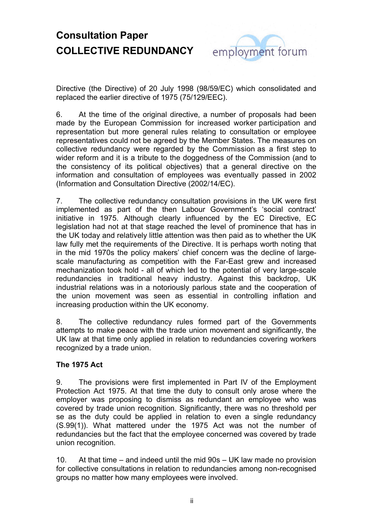

Directive (the Directive) of 20 July 1998 (98/59/EC) which consolidated and replaced the earlier directive of 1975 (75/129/EEC).

6. At the time of the original directive, a number of proposals had been made by the European Commission for increased worker participation and representation but more general rules relating to consultation or employee representatives could not be agreed by the Member States. The measures on collective redundancy were regarded by the Commission as a first step to wider reform and it is a tribute to the doggedness of the Commission (and to the consistency of its political objectives) that a general directive on the information and consultation of employees was eventually passed in 2002 (Information and Consultation Directive (2002/14/EC).

7. The collective redundancy consultation provisions in the UK were first implemented as part of the then Labour Government's 'social contract' initiative in 1975. Although clearly influenced by the EC Directive, EC legislation had not at that stage reached the level of prominence that has in the UK today and relatively little attention was then paid as to whether the UK law fully met the requirements of the Directive. It is perhaps worth noting that in the mid 1970s the policy makers' chief concern was the decline of largescale manufacturing as competition with the Far-East grew and increased mechanization took hold - all of which led to the potential of very large-scale redundancies in traditional heavy industry. Against this backdrop, UK industrial relations was in a notoriously parlous state and the cooperation of the union movement was seen as essential in controlling inflation and increasing production within the UK economy.

8. The collective redundancy rules formed part of the Governments attempts to make peace with the trade union movement and significantly, the UK law at that time only applied in relation to redundancies covering workers recognized by a trade union.

### **The 1975 Act**

9. The provisions were first implemented in Part IV of the Employment Protection Act 1975. At that time the duty to consult only arose where the employer was proposing to dismiss as redundant an employee who was covered by trade union recognition. Significantly, there was no threshold per se as the duty could be applied in relation to even a single redundancy (S.99(1)). What mattered under the 1975 Act was not the number of redundancies but the fact that the employee concerned was covered by trade union recognition.

10. At that time – and indeed until the mid 90s – UK law made no provision for collective consultations in relation to redundancies among non-recognised groups no matter how many employees were involved.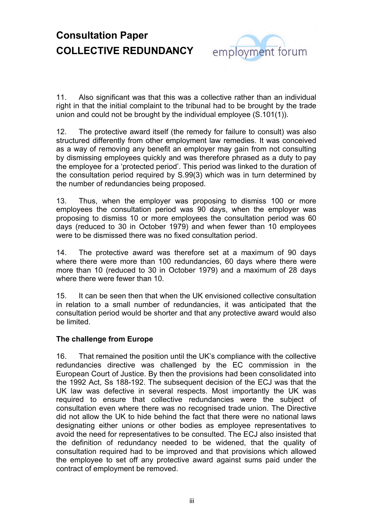

11. Also significant was that this was a collective rather than an individual right in that the initial complaint to the tribunal had to be brought by the trade union and could not be brought by the individual employee (S.101(1)).

12. The protective award itself (the remedy for failure to consult) was also structured differently from other employment law remedies. It was conceived as a way of removing any benefit an employer may gain from not consulting by dismissing employees quickly and was therefore phrased as a duty to pay the employee for a 'protected period'. This period was linked to the duration of the consultation period required by S.99(3) which was in turn determined by the number of redundancies being proposed.

13. Thus, when the employer was proposing to dismiss 100 or more employees the consultation period was 90 days, when the employer was proposing to dismiss 10 or more employees the consultation period was 60 days (reduced to 30 in October 1979) and when fewer than 10 employees were to be dismissed there was no fixed consultation period.

14. The protective award was therefore set at a maximum of 90 days where there were more than 100 redundancies, 60 days where there were more than 10 (reduced to 30 in October 1979) and a maximum of 28 days where there were fewer than 10.

15. It can be seen then that when the UK envisioned collective consultation in relation to a small number of redundancies, it was anticipated that the consultation period would be shorter and that any protective award would also be limited.

### **The challenge from Europe**

16. That remained the position until the UK's compliance with the collective redundancies directive was challenged by the EC commission in the European Court of Justice. By then the provisions had been consolidated into the 1992 Act, Ss 188-192. The subsequent decision of the ECJ was that the UK law was defective in several respects. Most importantly the UK was required to ensure that collective redundancies were the subject of consultation even where there was no recognised trade union. The Directive did not allow the UK to hide behind the fact that there were no national laws designating either unions or other bodies as employee representatives to avoid the need for representatives to be consulted. The ECJ also insisted that the definition of redundancy needed to be widened, that the quality of consultation required had to be improved and that provisions which allowed the employee to set off any protective award against sums paid under the contract of employment be removed.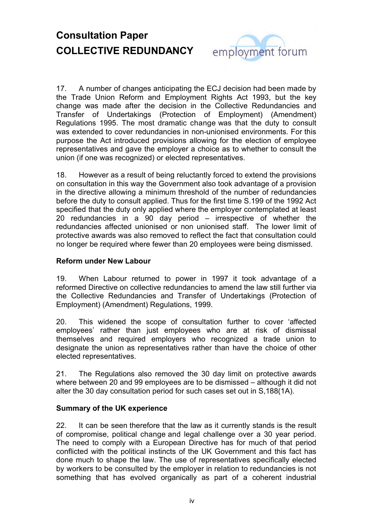

17. A number of changes anticipating the ECJ decision had been made by the Trade Union Reform and Employment Rights Act 1993, but the key change was made after the decision in the Collective Redundancies and Transfer of Undertakings (Protection of Employment) (Amendment) Regulations 1995. The most dramatic change was that the duty to consult was extended to cover redundancies in non-unionised environments. For this purpose the Act introduced provisions allowing for the election of employee representatives and gave the employer a choice as to whether to consult the union (if one was recognized) or elected representatives.

18. However as a result of being reluctantly forced to extend the provisions on consultation in this way the Government also took advantage of a provision in the directive allowing a minimum threshold of the number of redundancies before the duty to consult applied. Thus for the first time S.199 of the 1992 Act specified that the duty only applied where the employer contemplated at least 20 redundancies in a 90 day period – irrespective of whether the redundancies affected unionised or non unionised staff. The lower limit of protective awards was also removed to reflect the fact that consultation could no longer be required where fewer than 20 employees were being dismissed.

#### **Reform under New Labour**

19. When Labour returned to power in 1997 it took advantage of a reformed Directive on collective redundancies to amend the law still further via the Collective Redundancies and Transfer of Undertakings (Protection of Employment) (Amendment) Regulations, 1999.

20. This widened the scope of consultation further to cover 'affected employees' rather than just employees who are at risk of dismissal themselves and required employers who recognized a trade union to designate the union as representatives rather than have the choice of other elected representatives.

21. The Regulations also removed the 30 day limit on protective awards where between 20 and 99 employees are to be dismissed – although it did not alter the 30 day consultation period for such cases set out in S,188(1A).

#### **Summary of the UK experience**

22. It can be seen therefore that the law as it currently stands is the result of compromise, political change and legal challenge over a 30 year period. The need to comply with a European Directive has for much of that period conflicted with the political instincts of the UK Government and this fact has done much to shape the law. The use of representatives specifically elected by workers to be consulted by the employer in relation to redundancies is not something that has evolved organically as part of a coherent industrial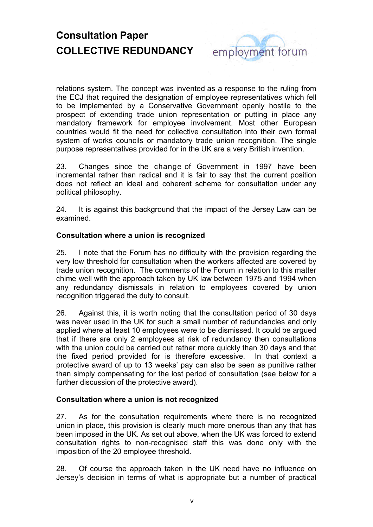

relations system. The concept was invented as a response to the ruling from the ECJ that required the designation of employee representatives which fell to be implemented by a Conservative Government openly hostile to the prospect of extending trade union representation or putting in place any mandatory framework for employee involvement. Most other European countries would fit the need for collective consultation into their own formal system of works councils or mandatory trade union recognition. The single purpose representatives provided for in the UK are a very British invention.

23. Changes since the change of Government in 1997 have been incremental rather than radical and it is fair to say that the current position does not reflect an ideal and coherent scheme for consultation under any political philosophy.

24. It is against this background that the impact of the Jersey Law can be examined.

### **Consultation where a union is recognized**

25. I note that the Forum has no difficulty with the provision regarding the very low threshold for consultation when the workers affected are covered by trade union recognition. The comments of the Forum in relation to this matter chime well with the approach taken by UK law between 1975 and 1994 when any redundancy dismissals in relation to employees covered by union recognition triggered the duty to consult.

26. Against this, it is worth noting that the consultation period of 30 days was never used in the UK for such a small number of redundancies and only applied where at least 10 employees were to be dismissed. It could be argued that if there are only 2 employees at risk of redundancy then consultations with the union could be carried out rather more quickly than 30 days and that the fixed period provided for is therefore excessive. In that context a protective award of up to 13 weeks' pay can also be seen as punitive rather than simply compensating for the lost period of consultation (see below for a further discussion of the protective award).

#### **Consultation where a union is not recognized**

27. As for the consultation requirements where there is no recognized union in place, this provision is clearly much more onerous than any that has been imposed in the UK. As set out above, when the UK was forced to extend consultation rights to non-recognised staff this was done only with the imposition of the 20 employee threshold.

28. Of course the approach taken in the UK need have no influence on Jersey's decision in terms of what is appropriate but a number of practical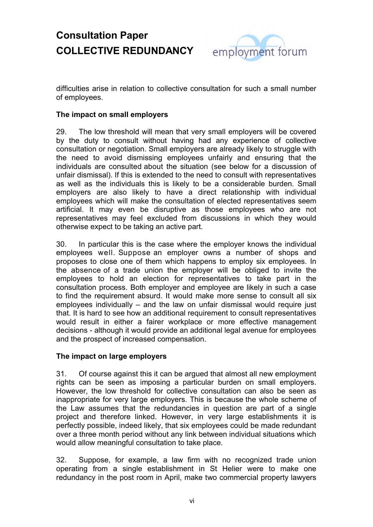

difficulties arise in relation to collective consultation for such a small number of employees.

### **The impact on small employers**

29. The low threshold will mean that very small employers will be covered by the duty to consult without having had any experience of collective consultation or negotiation. Small employers are already likely to struggle with the need to avoid dismissing employees unfairly and ensuring that the individuals are consulted about the situation (see below for a discussion of unfair dismissal). If this is extended to the need to consult with representatives as well as the individuals this is likely to be a considerable burden. Small employers are also likely to have a direct relationship with individual employees which will make the consultation of elected representatives seem artificial. It may even be disruptive as those employees who are not representatives may feel excluded from discussions in which they would otherwise expect to be taking an active part.

30. In particular this is the case where the employer knows the individual employees well. Suppose an employer owns a number of shops and proposes to close one of them which happens to employ six employees. In the absence of a trade union the employer will be obliged to invite the employees to hold an election for representatives to take part in the consultation process. Both employer and employee are likely in such a case to find the requirement absurd. It would make more sense to consult all six employees individually – and the law on unfair dismissal would require just that. It is hard to see how an additional requirement to consult representatives would result in either a fairer workplace or more effective management decisions - although it would provide an additional legal avenue for employees and the prospect of increased compensation.

#### **The impact on large employers**

31. Of course against this it can be argued that almost all new employment rights can be seen as imposing a particular burden on small employers. However, the low threshold for collective consultation can also be seen as inappropriate for very large employers. This is because the whole scheme of the Law assumes that the redundancies in question are part of a single project and therefore linked. However, in very large establishments it is perfectly possible, indeed likely, that six employees could be made redundant over a three month period without any link between individual situations which would allow meaningful consultation to take place.

32. Suppose, for example, a law firm with no recognized trade union operating from a single establishment in St Helier were to make one redundancy in the post room in April, make two commercial property lawyers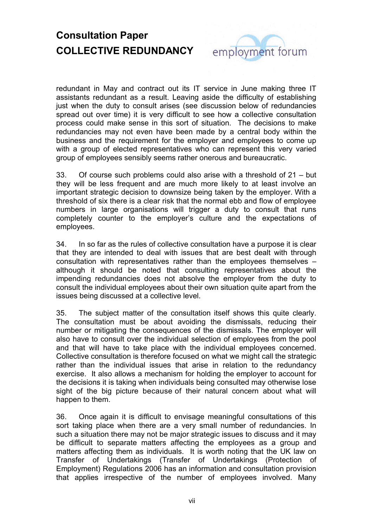

redundant in May and contract out its IT service in June making three IT assistants redundant as a result. Leaving aside the difficulty of establishing just when the duty to consult arises (see discussion below of redundancies spread out over time) it is very difficult to see how a collective consultation process could make sense in this sort of situation. The decisions to make redundancies may not even have been made by a central body within the business and the requirement for the employer and employees to come up with a group of elected representatives who can represent this very varied group of employees sensibly seems rather onerous and bureaucratic.

33. Of course such problems could also arise with a threshold of 21 – but they will be less frequent and are much more likely to at least involve an important strategic decision to downsize being taken by the employer. With a threshold of six there is a clear risk that the normal ebb and flow of employee numbers in large organisations will trigger a duty to consult that runs completely counter to the employer's culture and the expectations of employees.

34. In so far as the rules of collective consultation have a purpose it is clear that they are intended to deal with issues that are best dealt with through consultation with representatives rather than the employees themselves – although it should be noted that consulting representatives about the impending redundancies does not absolve the employer from the duty to consult the individual employees about their own situation quite apart from the issues being discussed at a collective level.

35. The subject matter of the consultation itself shows this quite clearly. The consultation must be about avoiding the dismissals, reducing their number or mitigating the consequences of the dismissals. The employer will also have to consult over the individual selection of employees from the pool and that will have to take place with the individual employees concerned. Collective consultation is therefore focused on what we might call the strategic rather than the individual issues that arise in relation to the redundancy exercise. It also allows a mechanism for holding the employer to account for the decisions it is taking when individuals being consulted may otherwise lose sight of the big picture because of their natural concern about what will happen to them.

36. Once again it is difficult to envisage meaningful consultations of this sort taking place when there are a very small number of redundancies. In such a situation there may not be major strategic issues to discuss and it may be difficult to separate matters affecting the employees as a group and matters affecting them as individuals. It is worth noting that the UK law on Transfer of Undertakings (Transfer of Undertakings (Protection of Employment) Regulations 2006 has an information and consultation provision that applies irrespective of the number of employees involved. Many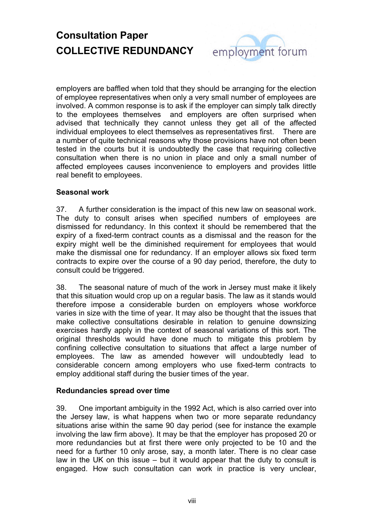

employers are baffled when told that they should be arranging for the election of employee representatives when only a very small number of employees are involved. A common response is to ask if the employer can simply talk directly to the employees themselves and employers are often surprised when advised that technically they cannot unless they get all of the affected individual employees to elect themselves as representatives first. There are a number of quite technical reasons why those provisions have not often been tested in the courts but it is undoubtedly the case that requiring collective consultation when there is no union in place and only a small number of affected employees causes inconvenience to employers and provides little real benefit to employees.

### **Seasonal work**

37. A further consideration is the impact of this new law on seasonal work. The duty to consult arises when specified numbers of employees are dismissed for redundancy. In this context it should be remembered that the expiry of a fixed-term contract counts as a dismissal and the reason for the expiry might well be the diminished requirement for employees that would make the dismissal one for redundancy. If an employer allows six fixed term contracts to expire over the course of a 90 day period, therefore, the duty to consult could be triggered.

38. The seasonal nature of much of the work in Jersey must make it likely that this situation would crop up on a regular basis. The law as it stands would therefore impose a considerable burden on employers whose workforce varies in size with the time of year. It may also be thought that the issues that make collective consultations desirable in relation to genuine downsizing exercises hardly apply in the context of seasonal variations of this sort. The original thresholds would have done much to mitigate this problem by confining collective consultation to situations that affect a large number of employees. The law as amended however will undoubtedly lead to considerable concern among employers who use fixed-term contracts to employ additional staff during the busier times of the year.

#### **Redundancies spread over time**

39. One important ambiguity in the 1992 Act, which is also carried over into the Jersey law, is what happens when two or more separate redundancy situations arise within the same 90 day period (see for instance the example involving the law firm above). It may be that the employer has proposed 20 or more redundancies but at first there were only projected to be 10 and the need for a further 10 only arose, say, a month later. There is no clear case law in the UK on this issue – but it would appear that the duty to consult is engaged. How such consultation can work in practice is very unclear,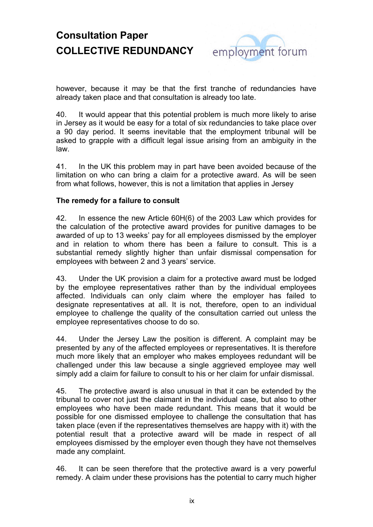

however, because it may be that the first tranche of redundancies have already taken place and that consultation is already too late.

40. It would appear that this potential problem is much more likely to arise in Jersey as it would be easy for a total of six redundancies to take place over a 90 day period. It seems inevitable that the employment tribunal will be asked to grapple with a difficult legal issue arising from an ambiguity in the law.

41. In the UK this problem may in part have been avoided because of the limitation on who can bring a claim for a protective award. As will be seen from what follows, however, this is not a limitation that applies in Jersey

### **The remedy for a failure to consult**

42. In essence the new Article 60H(6) of the 2003 Law which provides for the calculation of the protective award provides for punitive damages to be awarded of up to 13 weeks' pay for all employees dismissed by the employer and in relation to whom there has been a failure to consult. This is a substantial remedy slightly higher than unfair dismissal compensation for employees with between 2 and 3 years' service.

43. Under the UK provision a claim for a protective award must be lodged by the employee representatives rather than by the individual employees affected. Individuals can only claim where the employer has failed to designate representatives at all. It is not, therefore, open to an individual employee to challenge the quality of the consultation carried out unless the employee representatives choose to do so.

44. Under the Jersey Law the position is different. A complaint may be presented by any of the affected employees or representatives. It is therefore much more likely that an employer who makes employees redundant will be challenged under this law because a single aggrieved employee may well simply add a claim for failure to consult to his or her claim for unfair dismissal.

45. The protective award is also unusual in that it can be extended by the tribunal to cover not just the claimant in the individual case, but also to other employees who have been made redundant. This means that it would be possible for one dismissed employee to challenge the consultation that has taken place (even if the representatives themselves are happy with it) with the potential result that a protective award will be made in respect of all employees dismissed by the employer even though they have not themselves made any complaint.

46. It can be seen therefore that the protective award is a very powerful remedy. A claim under these provisions has the potential to carry much higher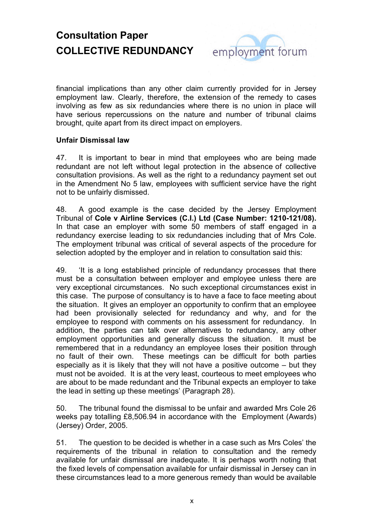

financial implications than any other claim currently provided for in Jersey employment law. Clearly, therefore, the extension of the remedy to cases involving as few as six redundancies where there is no union in place will have serious repercussions on the nature and number of tribunal claims brought, quite apart from its direct impact on employers.

### **Unfair Dismissal law**

47. It is important to bear in mind that employees who are being made redundant are not left without legal protection in the absence of collective consultation provisions. As well as the right to a redundancy payment set out in the Amendment No 5 law, employees with sufficient service have the right not to be unfairly dismissed.

48. A good example is the case decided by the Jersey Employment Tribunal of **Cole v Airline Services (C.I.) Ltd (Case Number: 1210-121/08).** In that case an employer with some 50 members of staff engaged in a redundancy exercise leading to six redundancies including that of Mrs Cole. The employment tribunal was critical of several aspects of the procedure for selection adopted by the employer and in relation to consultation said this:

49. 'It is a long established principle of redundancy processes that there must be a consultation between employer and employee unless there are very exceptional circumstances. No such exceptional circumstances exist in this case. The purpose of consultancy is to have a face to face meeting about the situation. It gives an employer an opportunity to confirm that an employee had been provisionally selected for redundancy and why, and for the employee to respond with comments on his assessment for redundancy. In addition, the parties can talk over alternatives to redundancy, any other employment opportunities and generally discuss the situation. It must be remembered that in a redundancy an employee loses their position through no fault of their own. These meetings can be difficult for both parties especially as it is likely that they will not have a positive outcome – but they must not be avoided. It is at the very least, courteous to meet employees who are about to be made redundant and the Tribunal expects an employer to take the lead in setting up these meetings' (Paragraph 28).

50. The tribunal found the dismissal to be unfair and awarded Mrs Cole 26 weeks pay totalling £8,506.94 in accordance with the Employment (Awards) (Jersey) Order, 2005.

51. The question to be decided is whether in a case such as Mrs Coles' the requirements of the tribunal in relation to consultation and the remedy available for unfair dismissal are inadequate. It is perhaps worth noting that the fixed levels of compensation available for unfair dismissal in Jersey can in these circumstances lead to a more generous remedy than would be available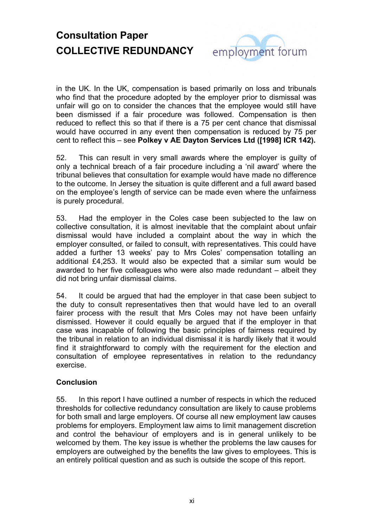

in the UK. In the UK, compensation is based primarily on loss and tribunals who find that the procedure adopted by the employer prior to dismissal was unfair will go on to consider the chances that the employee would still have been dismissed if a fair procedure was followed. Compensation is then reduced to reflect this so that if there is a 75 per cent chance that dismissal would have occurred in any event then compensation is reduced by 75 per cent to reflect this – see **Polkey v AE Dayton Services Ltd ([1998] ICR 142).**

52. This can result in very small awards where the employer is guilty of only a technical breach of a fair procedure including a 'nil award' where the tribunal believes that consultation for example would have made no difference to the outcome. In Jersey the situation is quite different and a full award based on the employee's length of service can be made even where the unfairness is purely procedural.

53. Had the employer in the Coles case been subjected to the law on collective consultation, it is almost inevitable that the complaint about unfair dismissal would have included a complaint about the way in which the employer consulted, or failed to consult, with representatives. This could have added a further 13 weeks' pay to Mrs Coles' compensation totalling an additional £4,253. It would also be expected that a similar sum would be awarded to her five colleagues who were also made redundant – albeit they did not bring unfair dismissal claims.

54. It could be argued that had the employer in that case been subject to the duty to consult representatives then that would have led to an overall fairer process with the result that Mrs Coles may not have been unfairly dismissed. However it could equally be argued that if the employer in that case was incapable of following the basic principles of fairness required by the tribunal in relation to an individual dismissal it is hardly likely that it would find it straightforward to comply with the requirement for the election and consultation of employee representatives in relation to the redundancy exercise.

#### **Conclusion**

55. In this report I have outlined a number of respects in which the reduced thresholds for collective redundancy consultation are likely to cause problems for both small and large employers. Of course all new employment law causes problems for employers. Employment law aims to limit management discretion and control the behaviour of employers and is in general unlikely to be welcomed by them. The key issue is whether the problems the law causes for employers are outweighed by the benefits the law gives to employees. This is an entirely political question and as such is outside the scope of this report.